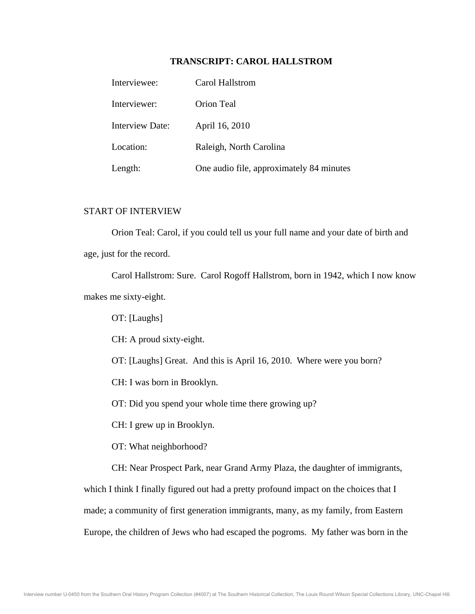# **TRANSCRIPT: CAROL HALLSTROM**

| Interviewee:           | Carol Hallstrom                          |
|------------------------|------------------------------------------|
| Interviewer:           | Orion Teal                               |
| <b>Interview Date:</b> | April 16, 2010                           |
| Location:              | Raleigh, North Carolina                  |
| Length:                | One audio file, approximately 84 minutes |

# START OF INTERVIEW

 Orion Teal: Carol, if you could tell us your full name and your date of birth and age, just for the record.

 Carol Hallstrom: Sure. Carol Rogoff Hallstrom, born in 1942, which I now know makes me sixty-eight.

OT: [Laughs]

CH: A proud sixty-eight.

OT: [Laughs] Great. And this is April 16, 2010. Where were you born?

CH: I was born in Brooklyn.

OT: Did you spend your whole time there growing up?

CH: I grew up in Brooklyn.

OT: What neighborhood?

CH: Near Prospect Park, near Grand Army Plaza, the daughter of immigrants,

which I think I finally figured out had a pretty profound impact on the choices that I made; a community of first generation immigrants, many, as my family, from Eastern Europe, the children of Jews who had escaped the pogroms. My father was born in the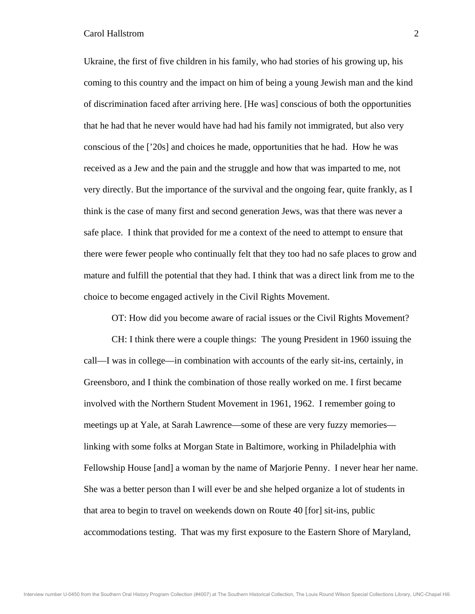Ukraine, the first of five children in his family, who had stories of his growing up, his coming to this country and the impact on him of being a young Jewish man and the kind of discrimination faced after arriving here. [He was] conscious of both the opportunities that he had that he never would have had had his family not immigrated, but also very conscious of the ['20s] and choices he made, opportunities that he had. How he was received as a Jew and the pain and the struggle and how that was imparted to me, not very directly. But the importance of the survival and the ongoing fear, quite frankly, as I think is the case of many first and second generation Jews, was that there was never a safe place. I think that provided for me a context of the need to attempt to ensure that there were fewer people who continually felt that they too had no safe places to grow and mature and fulfill the potential that they had. I think that was a direct link from me to the choice to become engaged actively in the Civil Rights Movement.

OT: How did you become aware of racial issues or the Civil Rights Movement?

 CH: I think there were a couple things: The young President in 1960 issuing the call—I was in college—in combination with accounts of the early sit-ins, certainly, in Greensboro, and I think the combination of those really worked on me. I first became involved with the Northern Student Movement in 1961, 1962. I remember going to meetings up at Yale, at Sarah Lawrence—some of these are very fuzzy memories linking with some folks at Morgan State in Baltimore, working in Philadelphia with Fellowship House [and] a woman by the name of Marjorie Penny. I never hear her name. She was a better person than I will ever be and she helped organize a lot of students in that area to begin to travel on weekends down on Route 40 [for] sit-ins, public accommodations testing. That was my first exposure to the Eastern Shore of Maryland,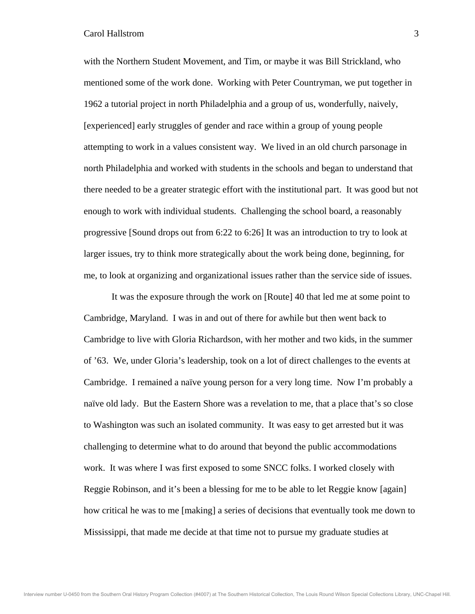with the Northern Student Movement, and Tim, or maybe it was Bill Strickland, who mentioned some of the work done. Working with Peter Countryman, we put together in 1962 a tutorial project in north Philadelphia and a group of us, wonderfully, naively, [experienced] early struggles of gender and race within a group of young people attempting to work in a values consistent way. We lived in an old church parsonage in north Philadelphia and worked with students in the schools and began to understand that there needed to be a greater strategic effort with the institutional part. It was good but not enough to work with individual students. Challenging the school board, a reasonably progressive [Sound drops out from 6:22 to 6:26] It was an introduction to try to look at larger issues, try to think more strategically about the work being done, beginning, for me, to look at organizing and organizational issues rather than the service side of issues.

 It was the exposure through the work on [Route] 40 that led me at some point to Cambridge, Maryland. I was in and out of there for awhile but then went back to Cambridge to live with Gloria Richardson, with her mother and two kids, in the summer of '63. We, under Gloria's leadership, took on a lot of direct challenges to the events at Cambridge. I remained a naïve young person for a very long time. Now I'm probably a naïve old lady. But the Eastern Shore was a revelation to me, that a place that's so close to Washington was such an isolated community. It was easy to get arrested but it was challenging to determine what to do around that beyond the public accommodations work. It was where I was first exposed to some SNCC folks. I worked closely with Reggie Robinson, and it's been a blessing for me to be able to let Reggie know [again] how critical he was to me [making] a series of decisions that eventually took me down to Mississippi, that made me decide at that time not to pursue my graduate studies at

Interview number U-0450 from the Southern Oral History Program Collection (#4007) at The Southern Historical Collection, The Louis Round Wilson Special Collections Library, UNC-Chapel Hill.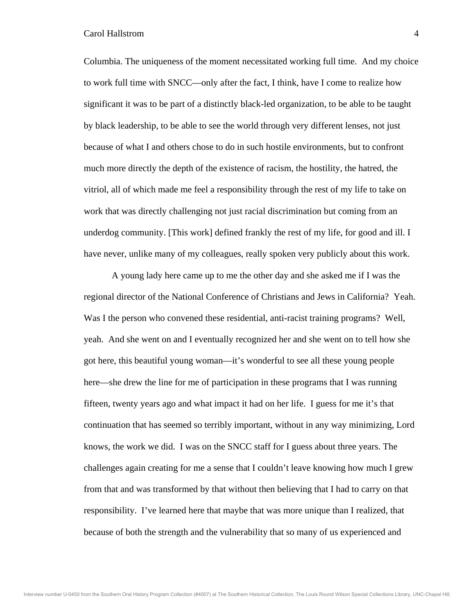Columbia. The uniqueness of the moment necessitated working full time. And my choice to work full time with SNCC—only after the fact, I think, have I come to realize how significant it was to be part of a distinctly black-led organization, to be able to be taught by black leadership, to be able to see the world through very different lenses, not just because of what I and others chose to do in such hostile environments, but to confront much more directly the depth of the existence of racism, the hostility, the hatred, the vitriol, all of which made me feel a responsibility through the rest of my life to take on work that was directly challenging not just racial discrimination but coming from an underdog community. [This work] defined frankly the rest of my life, for good and ill. I have never, unlike many of my colleagues, really spoken very publicly about this work.

 A young lady here came up to me the other day and she asked me if I was the regional director of the National Conference of Christians and Jews in California? Yeah. Was I the person who convened these residential, anti-racist training programs? Well, yeah. And she went on and I eventually recognized her and she went on to tell how she got here, this beautiful young woman—it's wonderful to see all these young people here—she drew the line for me of participation in these programs that I was running fifteen, twenty years ago and what impact it had on her life. I guess for me it's that continuation that has seemed so terribly important, without in any way minimizing, Lord knows, the work we did. I was on the SNCC staff for I guess about three years. The challenges again creating for me a sense that I couldn't leave knowing how much I grew from that and was transformed by that without then believing that I had to carry on that responsibility. I've learned here that maybe that was more unique than I realized, that because of both the strength and the vulnerability that so many of us experienced and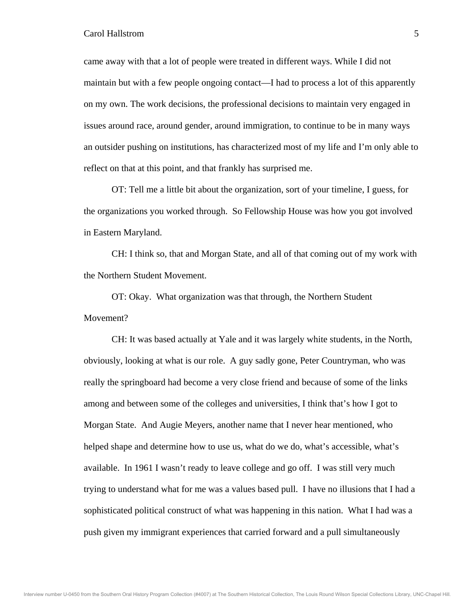came away with that a lot of people were treated in different ways. While I did not maintain but with a few people ongoing contact—I had to process a lot of this apparently on my own. The work decisions, the professional decisions to maintain very engaged in issues around race, around gender, around immigration, to continue to be in many ways an outsider pushing on institutions, has characterized most of my life and I'm only able to reflect on that at this point, and that frankly has surprised me.

 OT: Tell me a little bit about the organization, sort of your timeline, I guess, for the organizations you worked through. So Fellowship House was how you got involved in Eastern Maryland.

 CH: I think so, that and Morgan State, and all of that coming out of my work with the Northern Student Movement.

 OT: Okay. What organization was that through, the Northern Student Movement?

 CH: It was based actually at Yale and it was largely white students, in the North, obviously, looking at what is our role. A guy sadly gone, Peter Countryman, who was really the springboard had become a very close friend and because of some of the links among and between some of the colleges and universities, I think that's how I got to Morgan State. And Augie Meyers, another name that I never hear mentioned, who helped shape and determine how to use us, what do we do, what's accessible, what's available. In 1961 I wasn't ready to leave college and go off. I was still very much trying to understand what for me was a values based pull. I have no illusions that I had a sophisticated political construct of what was happening in this nation. What I had was a push given my immigrant experiences that carried forward and a pull simultaneously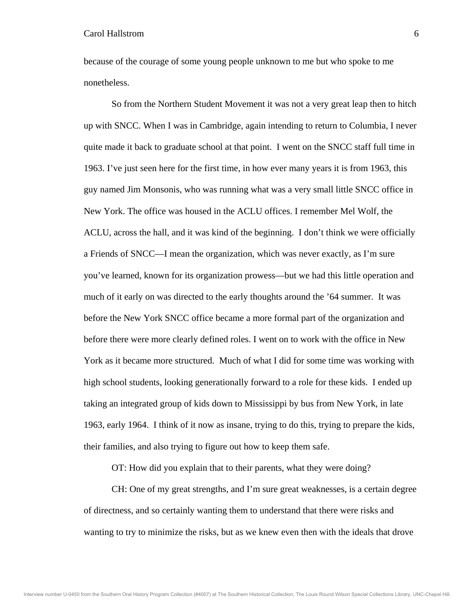because of the courage of some young people unknown to me but who spoke to me nonetheless.

 So from the Northern Student Movement it was not a very great leap then to hitch up with SNCC. When I was in Cambridge, again intending to return to Columbia, I never quite made it back to graduate school at that point. I went on the SNCC staff full time in 1963. I've just seen here for the first time, in how ever many years it is from 1963, this guy named Jim Monsonis, who was running what was a very small little SNCC office in New York. The office was housed in the ACLU offices. I remember Mel Wolf, the ACLU, across the hall, and it was kind of the beginning. I don't think we were officially a Friends of SNCC—I mean the organization, which was never exactly, as I'm sure you've learned, known for its organization prowess—but we had this little operation and much of it early on was directed to the early thoughts around the '64 summer. It was before the New York SNCC office became a more formal part of the organization and before there were more clearly defined roles. I went on to work with the office in New York as it became more structured. Much of what I did for some time was working with high school students, looking generationally forward to a role for these kids. I ended up taking an integrated group of kids down to Mississippi by bus from New York, in late 1963, early 1964. I think of it now as insane, trying to do this, trying to prepare the kids, their families, and also trying to figure out how to keep them safe.

OT: How did you explain that to their parents, what they were doing?

 CH: One of my great strengths, and I'm sure great weaknesses, is a certain degree of directness, and so certainly wanting them to understand that there were risks and wanting to try to minimize the risks, but as we knew even then with the ideals that drove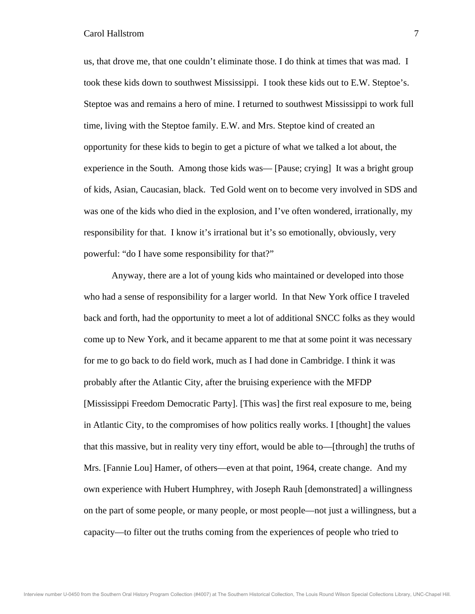us, that drove me, that one couldn't eliminate those. I do think at times that was mad. I took these kids down to southwest Mississippi. I took these kids out to E.W. Steptoe's. Steptoe was and remains a hero of mine. I returned to southwest Mississippi to work full time, living with the Steptoe family. E.W. and Mrs. Steptoe kind of created an opportunity for these kids to begin to get a picture of what we talked a lot about, the experience in the South. Among those kids was— [Pause; crying] It was a bright group of kids, Asian, Caucasian, black. Ted Gold went on to become very involved in SDS and was one of the kids who died in the explosion, and I've often wondered, irrationally, my responsibility for that. I know it's irrational but it's so emotionally, obviously, very powerful: "do I have some responsibility for that?"

 Anyway, there are a lot of young kids who maintained or developed into those who had a sense of responsibility for a larger world. In that New York office I traveled back and forth, had the opportunity to meet a lot of additional SNCC folks as they would come up to New York, and it became apparent to me that at some point it was necessary for me to go back to do field work, much as I had done in Cambridge. I think it was probably after the Atlantic City, after the bruising experience with the MFDP [Mississippi Freedom Democratic Party]. [This was] the first real exposure to me, being in Atlantic City, to the compromises of how politics really works. I [thought] the values that this massive, but in reality very tiny effort, would be able to—[through] the truths of Mrs. [Fannie Lou] Hamer, of others—even at that point, 1964, create change. And my own experience with Hubert Humphrey, with Joseph Rauh [demonstrated] a willingness on the part of some people, or many people, or most people—not just a willingness, but a capacity—to filter out the truths coming from the experiences of people who tried to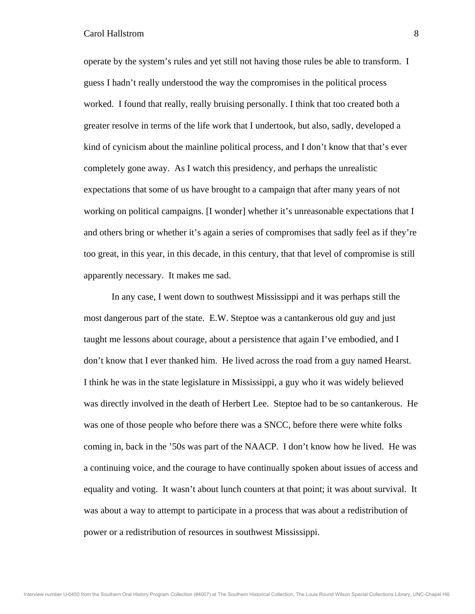operate by the system's rules and yet still not having those rules be able to transform. I guess I hadn't really understood the way the compromises in the political process worked. I found that really, really bruising personally. I think that too created both a greater resolve in terms of the life work that I undertook, but also, sadly, developed a kind of cynicism about the mainline political process, and I don't know that that's ever completely gone away. As I watch this presidency, and perhaps the unrealistic expectations that some of us have brought to a campaign that after many years of not working on political campaigns. [I wonder] whether it's unreasonable expectations that I and others bring or whether it's again a series of compromises that sadly feel as if they're too great, in this year, in this decade, in this century, that that level of compromise is still apparently necessary. It makes me sad.

 In any case, I went down to southwest Mississippi and it was perhaps still the most dangerous part of the state. E.W. Steptoe was a cantankerous old guy and just taught me lessons about courage, about a persistence that again I've embodied, and I don't know that I ever thanked him. He lived across the road from a guy named Hearst. I think he was in the state legislature in Mississippi, a guy who it was widely believed was directly involved in the death of Herbert Lee. Steptoe had to be so cantankerous. He was one of those people who before there was a SNCC, before there were white folks coming in, back in the '50s was part of the NAACP. I don't know how he lived. He was a continuing voice, and the courage to have continually spoken about issues of access and equality and voting. It wasn't about lunch counters at that point; it was about survival. It was about a way to attempt to participate in a process that was about a redistribution of power or a redistribution of resources in southwest Mississippi.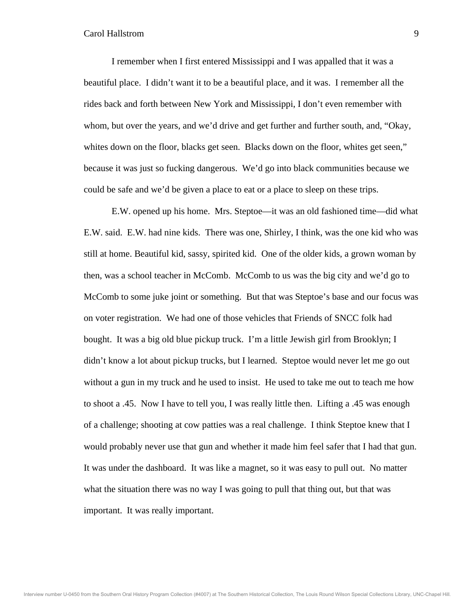I remember when I first entered Mississippi and I was appalled that it was a beautiful place. I didn't want it to be a beautiful place, and it was. I remember all the rides back and forth between New York and Mississippi, I don't even remember with whom, but over the years, and we'd drive and get further and further south, and, "Okay, whites down on the floor, blacks get seen. Blacks down on the floor, whites get seen," because it was just so fucking dangerous. We'd go into black communities because we could be safe and we'd be given a place to eat or a place to sleep on these trips.

 E.W. opened up his home. Mrs. Steptoe—it was an old fashioned time—did what E.W. said. E.W. had nine kids. There was one, Shirley, I think, was the one kid who was still at home. Beautiful kid, sassy, spirited kid. One of the older kids, a grown woman by then, was a school teacher in McComb. McComb to us was the big city and we'd go to McComb to some juke joint or something. But that was Steptoe's base and our focus was on voter registration. We had one of those vehicles that Friends of SNCC folk had bought. It was a big old blue pickup truck. I'm a little Jewish girl from Brooklyn; I didn't know a lot about pickup trucks, but I learned. Steptoe would never let me go out without a gun in my truck and he used to insist. He used to take me out to teach me how to shoot a .45. Now I have to tell you, I was really little then. Lifting a .45 was enough of a challenge; shooting at cow patties was a real challenge. I think Steptoe knew that I would probably never use that gun and whether it made him feel safer that I had that gun. It was under the dashboard. It was like a magnet, so it was easy to pull out. No matter what the situation there was no way I was going to pull that thing out, but that was important. It was really important.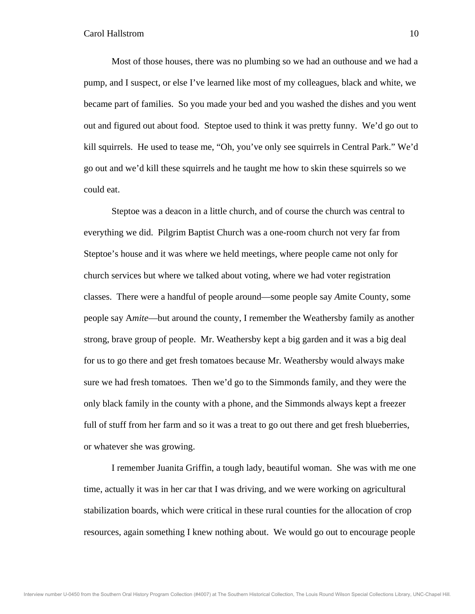Most of those houses, there was no plumbing so we had an outhouse and we had a pump, and I suspect, or else I've learned like most of my colleagues, black and white, we became part of families. So you made your bed and you washed the dishes and you went out and figured out about food. Steptoe used to think it was pretty funny. We'd go out to kill squirrels. He used to tease me, "Oh, you've only see squirrels in Central Park." We'd go out and we'd kill these squirrels and he taught me how to skin these squirrels so we could eat.

 Steptoe was a deacon in a little church, and of course the church was central to everything we did. Pilgrim Baptist Church was a one-room church not very far from Steptoe's house and it was where we held meetings, where people came not only for church services but where we talked about voting, where we had voter registration classes. There were a handful of people around—some people say *A*mite County, some people say A*mite*—but around the county, I remember the Weathersby family as another strong, brave group of people. Mr. Weathersby kept a big garden and it was a big deal for us to go there and get fresh tomatoes because Mr. Weathersby would always make sure we had fresh tomatoes. Then we'd go to the Simmonds family, and they were the only black family in the county with a phone, and the Simmonds always kept a freezer full of stuff from her farm and so it was a treat to go out there and get fresh blueberries, or whatever she was growing.

 I remember Juanita Griffin, a tough lady, beautiful woman. She was with me one time, actually it was in her car that I was driving, and we were working on agricultural stabilization boards, which were critical in these rural counties for the allocation of crop resources, again something I knew nothing about. We would go out to encourage people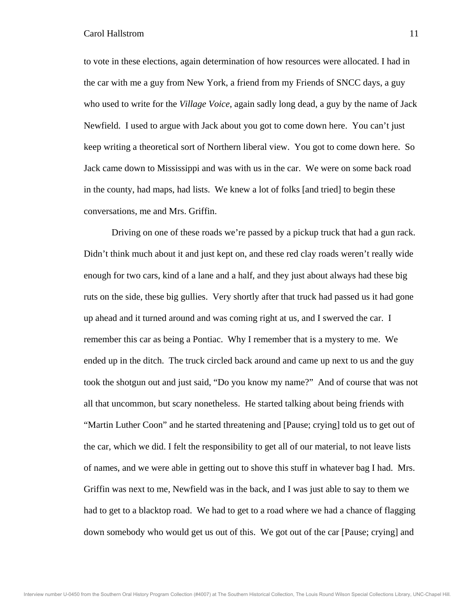to vote in these elections, again determination of how resources were allocated. I had in the car with me a guy from New York, a friend from my Friends of SNCC days, a guy who used to write for the *Village Voice*, again sadly long dead, a guy by the name of Jack Newfield. I used to argue with Jack about you got to come down here. You can't just keep writing a theoretical sort of Northern liberal view. You got to come down here. So Jack came down to Mississippi and was with us in the car. We were on some back road in the county, had maps, had lists. We knew a lot of folks [and tried] to begin these conversations, me and Mrs. Griffin.

 Driving on one of these roads we're passed by a pickup truck that had a gun rack. Didn't think much about it and just kept on, and these red clay roads weren't really wide enough for two cars, kind of a lane and a half, and they just about always had these big ruts on the side, these big gullies. Very shortly after that truck had passed us it had gone up ahead and it turned around and was coming right at us, and I swerved the car. I remember this car as being a Pontiac. Why I remember that is a mystery to me. We ended up in the ditch. The truck circled back around and came up next to us and the guy took the shotgun out and just said, "Do you know my name?" And of course that was not all that uncommon, but scary nonetheless. He started talking about being friends with "Martin Luther Coon" and he started threatening and [Pause; crying] told us to get out of the car, which we did. I felt the responsibility to get all of our material, to not leave lists of names, and we were able in getting out to shove this stuff in whatever bag I had. Mrs. Griffin was next to me, Newfield was in the back, and I was just able to say to them we had to get to a blacktop road. We had to get to a road where we had a chance of flagging down somebody who would get us out of this. We got out of the car [Pause; crying] and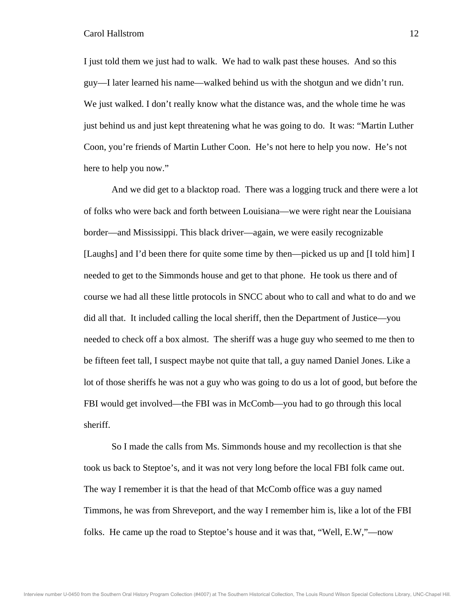I just told them we just had to walk. We had to walk past these houses. And so this guy—I later learned his name—walked behind us with the shotgun and we didn't run. We just walked. I don't really know what the distance was, and the whole time he was just behind us and just kept threatening what he was going to do. It was: "Martin Luther Coon, you're friends of Martin Luther Coon. He's not here to help you now. He's not here to help you now."

 And we did get to a blacktop road. There was a logging truck and there were a lot of folks who were back and forth between Louisiana—we were right near the Louisiana border—and Mississippi. This black driver—again, we were easily recognizable [Laughs] and I'd been there for quite some time by then—picked us up and [I told him] I needed to get to the Simmonds house and get to that phone. He took us there and of course we had all these little protocols in SNCC about who to call and what to do and we did all that. It included calling the local sheriff, then the Department of Justice—you needed to check off a box almost. The sheriff was a huge guy who seemed to me then to be fifteen feet tall, I suspect maybe not quite that tall, a guy named Daniel Jones. Like a lot of those sheriffs he was not a guy who was going to do us a lot of good, but before the FBI would get involved—the FBI was in McComb—you had to go through this local sheriff.

 So I made the calls from Ms. Simmonds house and my recollection is that she took us back to Steptoe's, and it was not very long before the local FBI folk came out. The way I remember it is that the head of that McComb office was a guy named Timmons, he was from Shreveport, and the way I remember him is, like a lot of the FBI folks. He came up the road to Steptoe's house and it was that, "Well, E.W,"—now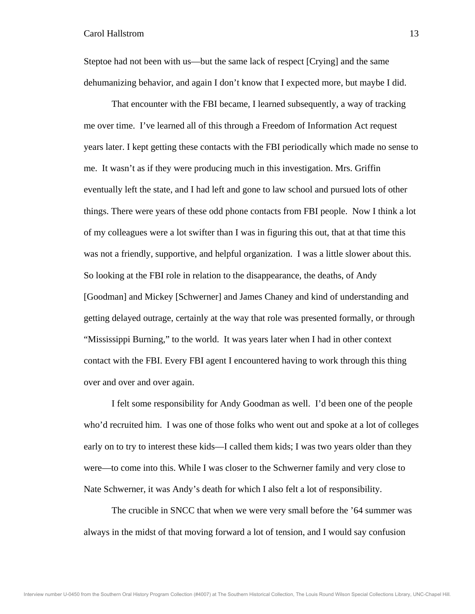Steptoe had not been with us—but the same lack of respect [Crying] and the same dehumanizing behavior, and again I don't know that I expected more, but maybe I did.

 That encounter with the FBI became, I learned subsequently, a way of tracking me over time. I've learned all of this through a Freedom of Information Act request years later. I kept getting these contacts with the FBI periodically which made no sense to me. It wasn't as if they were producing much in this investigation. Mrs. Griffin eventually left the state, and I had left and gone to law school and pursued lots of other things. There were years of these odd phone contacts from FBI people. Now I think a lot of my colleagues were a lot swifter than I was in figuring this out, that at that time this was not a friendly, supportive, and helpful organization. I was a little slower about this. So looking at the FBI role in relation to the disappearance, the deaths, of Andy [Goodman] and Mickey [Schwerner] and James Chaney and kind of understanding and getting delayed outrage, certainly at the way that role was presented formally, or through "Mississippi Burning," to the world. It was years later when I had in other context contact with the FBI. Every FBI agent I encountered having to work through this thing over and over and over again.

 I felt some responsibility for Andy Goodman as well. I'd been one of the people who'd recruited him. I was one of those folks who went out and spoke at a lot of colleges early on to try to interest these kids—I called them kids; I was two years older than they were—to come into this. While I was closer to the Schwerner family and very close to Nate Schwerner, it was Andy's death for which I also felt a lot of responsibility.

 The crucible in SNCC that when we were very small before the '64 summer was always in the midst of that moving forward a lot of tension, and I would say confusion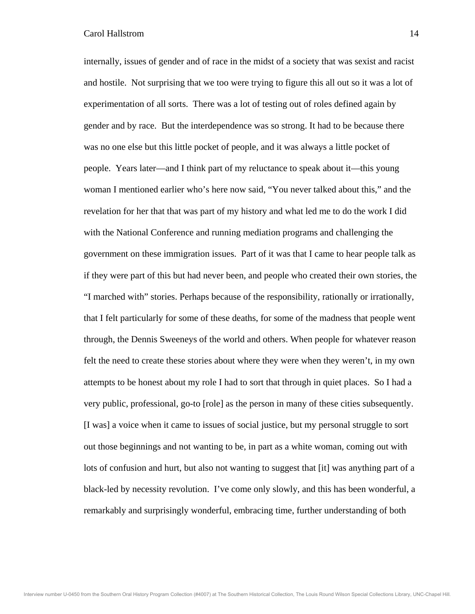internally, issues of gender and of race in the midst of a society that was sexist and racist and hostile. Not surprising that we too were trying to figure this all out so it was a lot of experimentation of all sorts. There was a lot of testing out of roles defined again by gender and by race. But the interdependence was so strong. It had to be because there was no one else but this little pocket of people, and it was always a little pocket of people. Years later—and I think part of my reluctance to speak about it—this young woman I mentioned earlier who's here now said, "You never talked about this," and the revelation for her that that was part of my history and what led me to do the work I did with the National Conference and running mediation programs and challenging the government on these immigration issues. Part of it was that I came to hear people talk as if they were part of this but had never been, and people who created their own stories, the "I marched with" stories. Perhaps because of the responsibility, rationally or irrationally, that I felt particularly for some of these deaths, for some of the madness that people went through, the Dennis Sweeneys of the world and others. When people for whatever reason felt the need to create these stories about where they were when they weren't, in my own attempts to be honest about my role I had to sort that through in quiet places. So I had a very public, professional, go-to [role] as the person in many of these cities subsequently. [I was] a voice when it came to issues of social justice, but my personal struggle to sort out those beginnings and not wanting to be, in part as a white woman, coming out with lots of confusion and hurt, but also not wanting to suggest that [it] was anything part of a black-led by necessity revolution. I've come only slowly, and this has been wonderful, a remarkably and surprisingly wonderful, embracing time, further understanding of both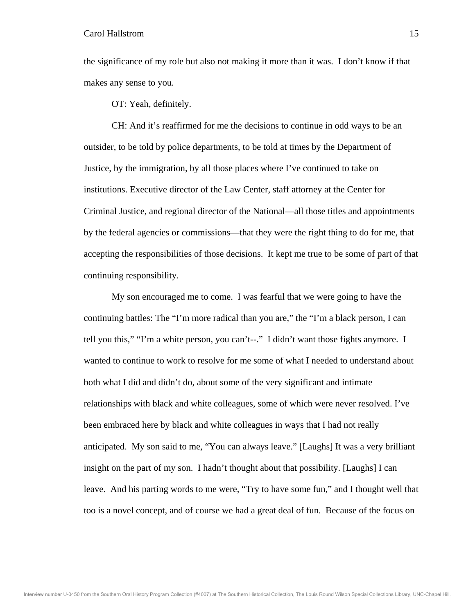the significance of my role but also not making it more than it was. I don't know if that makes any sense to you.

OT: Yeah, definitely.

 CH: And it's reaffirmed for me the decisions to continue in odd ways to be an outsider, to be told by police departments, to be told at times by the Department of Justice, by the immigration, by all those places where I've continued to take on institutions. Executive director of the Law Center, staff attorney at the Center for Criminal Justice, and regional director of the National—all those titles and appointments by the federal agencies or commissions—that they were the right thing to do for me, that accepting the responsibilities of those decisions. It kept me true to be some of part of that continuing responsibility.

 My son encouraged me to come. I was fearful that we were going to have the continuing battles: The "I'm more radical than you are," the "I'm a black person, I can tell you this," "I'm a white person, you can't--." I didn't want those fights anymore. I wanted to continue to work to resolve for me some of what I needed to understand about both what I did and didn't do, about some of the very significant and intimate relationships with black and white colleagues, some of which were never resolved. I've been embraced here by black and white colleagues in ways that I had not really anticipated. My son said to me, "You can always leave." [Laughs] It was a very brilliant insight on the part of my son. I hadn't thought about that possibility. [Laughs] I can leave. And his parting words to me were, "Try to have some fun," and I thought well that too is a novel concept, and of course we had a great deal of fun. Because of the focus on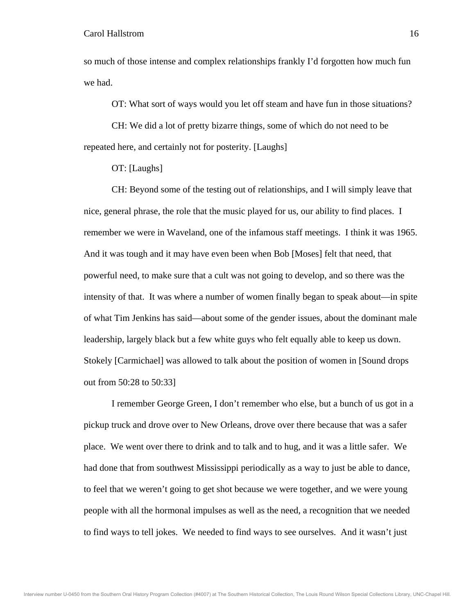so much of those intense and complex relationships frankly I'd forgotten how much fun we had.

OT: What sort of ways would you let off steam and have fun in those situations?

 CH: We did a lot of pretty bizarre things, some of which do not need to be repeated here, and certainly not for posterity. [Laughs]

OT: [Laughs]

 CH: Beyond some of the testing out of relationships, and I will simply leave that nice, general phrase, the role that the music played for us, our ability to find places. I remember we were in Waveland, one of the infamous staff meetings. I think it was 1965. And it was tough and it may have even been when Bob [Moses] felt that need, that powerful need, to make sure that a cult was not going to develop, and so there was the intensity of that. It was where a number of women finally began to speak about—in spite of what Tim Jenkins has said—about some of the gender issues, about the dominant male leadership, largely black but a few white guys who felt equally able to keep us down. Stokely [Carmichael] was allowed to talk about the position of women in [Sound drops out from 50:28 to 50:33]

 I remember George Green, I don't remember who else, but a bunch of us got in a pickup truck and drove over to New Orleans, drove over there because that was a safer place. We went over there to drink and to talk and to hug, and it was a little safer. We had done that from southwest Mississippi periodically as a way to just be able to dance, to feel that we weren't going to get shot because we were together, and we were young people with all the hormonal impulses as well as the need, a recognition that we needed to find ways to tell jokes. We needed to find ways to see ourselves. And it wasn't just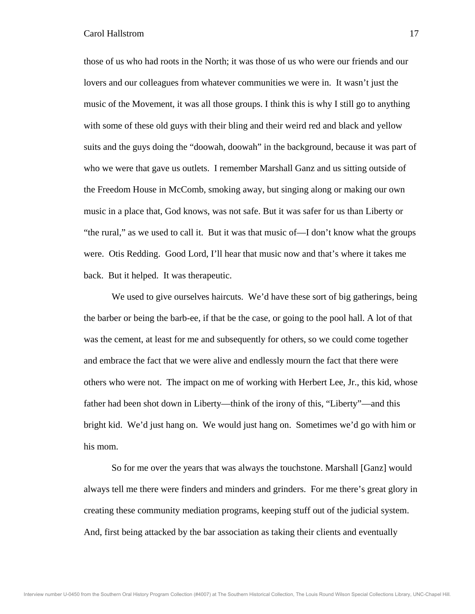those of us who had roots in the North; it was those of us who were our friends and our lovers and our colleagues from whatever communities we were in. It wasn't just the music of the Movement, it was all those groups. I think this is why I still go to anything with some of these old guys with their bling and their weird red and black and yellow suits and the guys doing the "doowah, doowah" in the background, because it was part of who we were that gave us outlets. I remember Marshall Ganz and us sitting outside of the Freedom House in McComb, smoking away, but singing along or making our own music in a place that, God knows, was not safe. But it was safer for us than Liberty or "the rural," as we used to call it. But it was that music of—I don't know what the groups were. Otis Redding. Good Lord, I'll hear that music now and that's where it takes me back. But it helped. It was therapeutic.

We used to give ourselves haircuts. We'd have these sort of big gatherings, being the barber or being the barb-ee, if that be the case, or going to the pool hall. A lot of that was the cement, at least for me and subsequently for others, so we could come together and embrace the fact that we were alive and endlessly mourn the fact that there were others who were not. The impact on me of working with Herbert Lee, Jr., this kid, whose father had been shot down in Liberty—think of the irony of this, "Liberty"—and this bright kid. We'd just hang on. We would just hang on. Sometimes we'd go with him or his mom.

 So for me over the years that was always the touchstone. Marshall [Ganz] would always tell me there were finders and minders and grinders. For me there's great glory in creating these community mediation programs, keeping stuff out of the judicial system. And, first being attacked by the bar association as taking their clients and eventually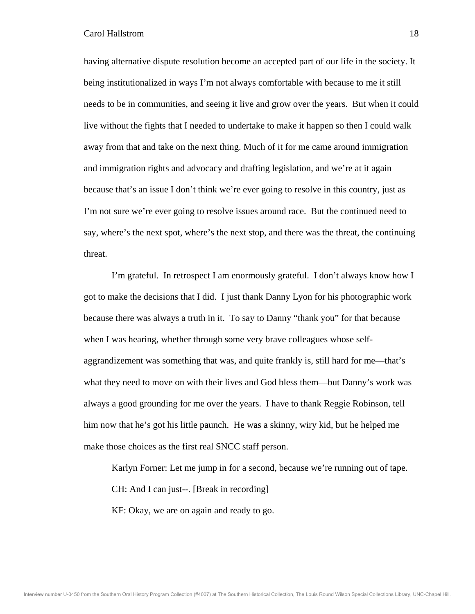having alternative dispute resolution become an accepted part of our life in the society. It being institutionalized in ways I'm not always comfortable with because to me it still needs to be in communities, and seeing it live and grow over the years. But when it could live without the fights that I needed to undertake to make it happen so then I could walk away from that and take on the next thing. Much of it for me came around immigration and immigration rights and advocacy and drafting legislation, and we're at it again because that's an issue I don't think we're ever going to resolve in this country, just as I'm not sure we're ever going to resolve issues around race. But the continued need to say, where's the next spot, where's the next stop, and there was the threat, the continuing threat.

 I'm grateful. In retrospect I am enormously grateful. I don't always know how I got to make the decisions that I did. I just thank Danny Lyon for his photographic work because there was always a truth in it. To say to Danny "thank you" for that because when I was hearing, whether through some very brave colleagues whose selfaggrandizement was something that was, and quite frankly is, still hard for me—that's what they need to move on with their lives and God bless them—but Danny's work was always a good grounding for me over the years. I have to thank Reggie Robinson, tell him now that he's got his little paunch. He was a skinny, wiry kid, but he helped me make those choices as the first real SNCC staff person.

 Karlyn Forner: Let me jump in for a second, because we're running out of tape. CH: And I can just--. [Break in recording] KF: Okay, we are on again and ready to go.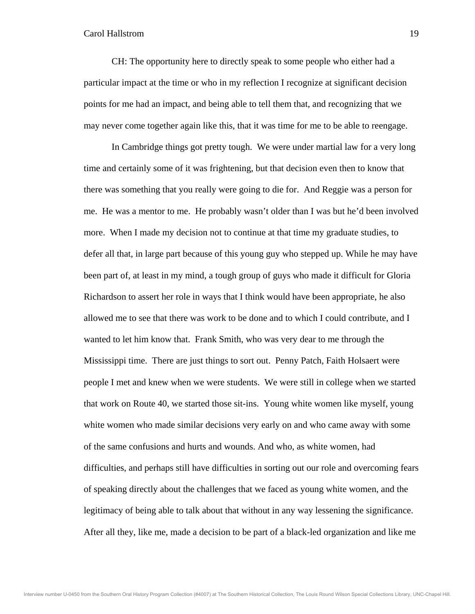CH: The opportunity here to directly speak to some people who either had a particular impact at the time or who in my reflection I recognize at significant decision points for me had an impact, and being able to tell them that, and recognizing that we may never come together again like this, that it was time for me to be able to reengage.

 In Cambridge things got pretty tough. We were under martial law for a very long time and certainly some of it was frightening, but that decision even then to know that there was something that you really were going to die for. And Reggie was a person for me. He was a mentor to me. He probably wasn't older than I was but he'd been involved more. When I made my decision not to continue at that time my graduate studies, to defer all that, in large part because of this young guy who stepped up. While he may have been part of, at least in my mind, a tough group of guys who made it difficult for Gloria Richardson to assert her role in ways that I think would have been appropriate, he also allowed me to see that there was work to be done and to which I could contribute, and I wanted to let him know that. Frank Smith, who was very dear to me through the Mississippi time. There are just things to sort out. Penny Patch, Faith Holsaert were people I met and knew when we were students. We were still in college when we started that work on Route 40, we started those sit-ins. Young white women like myself, young white women who made similar decisions very early on and who came away with some of the same confusions and hurts and wounds. And who, as white women, had difficulties, and perhaps still have difficulties in sorting out our role and overcoming fears of speaking directly about the challenges that we faced as young white women, and the legitimacy of being able to talk about that without in any way lessening the significance. After all they, like me, made a decision to be part of a black-led organization and like me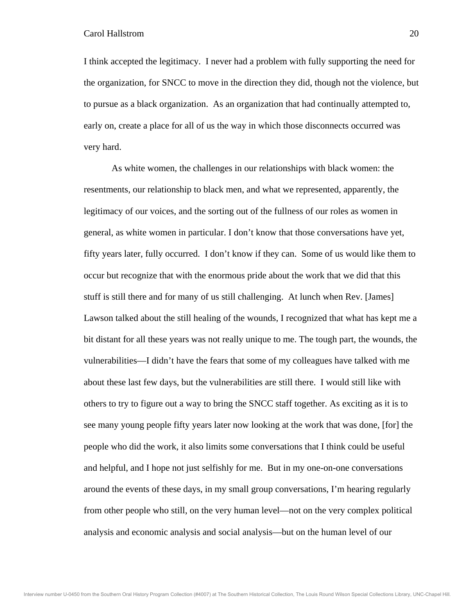I think accepted the legitimacy. I never had a problem with fully supporting the need for the organization, for SNCC to move in the direction they did, though not the violence, but to pursue as a black organization. As an organization that had continually attempted to, early on, create a place for all of us the way in which those disconnects occurred was very hard.

 As white women, the challenges in our relationships with black women: the resentments, our relationship to black men, and what we represented, apparently, the legitimacy of our voices, and the sorting out of the fullness of our roles as women in general, as white women in particular. I don't know that those conversations have yet, fifty years later, fully occurred. I don't know if they can. Some of us would like them to occur but recognize that with the enormous pride about the work that we did that this stuff is still there and for many of us still challenging. At lunch when Rev. [James] Lawson talked about the still healing of the wounds, I recognized that what has kept me a bit distant for all these years was not really unique to me. The tough part, the wounds, the vulnerabilities—I didn't have the fears that some of my colleagues have talked with me about these last few days, but the vulnerabilities are still there. I would still like with others to try to figure out a way to bring the SNCC staff together. As exciting as it is to see many young people fifty years later now looking at the work that was done, [for] the people who did the work, it also limits some conversations that I think could be useful and helpful, and I hope not just selfishly for me. But in my one-on-one conversations around the events of these days, in my small group conversations, I'm hearing regularly from other people who still, on the very human level—not on the very complex political analysis and economic analysis and social analysis—but on the human level of our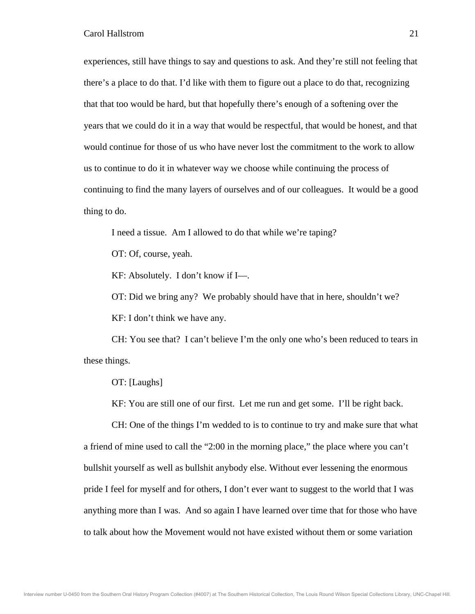experiences, still have things to say and questions to ask. And they're still not feeling that there's a place to do that. I'd like with them to figure out a place to do that, recognizing that that too would be hard, but that hopefully there's enough of a softening over the years that we could do it in a way that would be respectful, that would be honest, and that would continue for those of us who have never lost the commitment to the work to allow us to continue to do it in whatever way we choose while continuing the process of continuing to find the many layers of ourselves and of our colleagues. It would be a good thing to do.

I need a tissue. Am I allowed to do that while we're taping?

OT: Of, course, yeah.

KF: Absolutely. I don't know if I—.

OT: Did we bring any? We probably should have that in here, shouldn't we?

KF: I don't think we have any.

 CH: You see that? I can't believe I'm the only one who's been reduced to tears in these things.

OT: [Laughs]

KF: You are still one of our first. Let me run and get some. I'll be right back.

 CH: One of the things I'm wedded to is to continue to try and make sure that what a friend of mine used to call the "2:00 in the morning place," the place where you can't bullshit yourself as well as bullshit anybody else. Without ever lessening the enormous pride I feel for myself and for others, I don't ever want to suggest to the world that I was anything more than I was. And so again I have learned over time that for those who have to talk about how the Movement would not have existed without them or some variation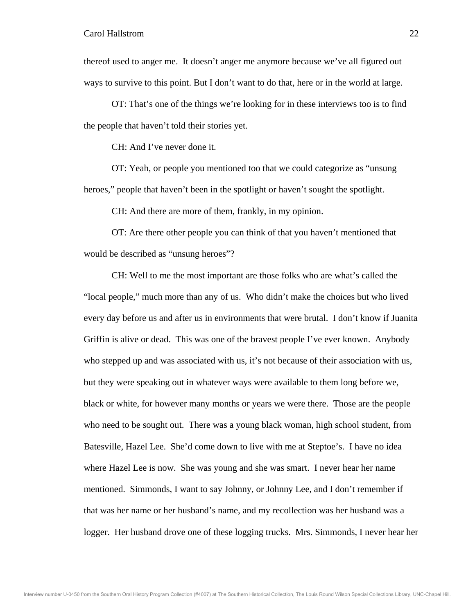thereof used to anger me. It doesn't anger me anymore because we've all figured out ways to survive to this point. But I don't want to do that, here or in the world at large.

 OT: That's one of the things we're looking for in these interviews too is to find the people that haven't told their stories yet.

CH: And I've never done it.

 OT: Yeah, or people you mentioned too that we could categorize as "unsung heroes," people that haven't been in the spotlight or haven't sought the spotlight.

CH: And there are more of them, frankly, in my opinion.

 OT: Are there other people you can think of that you haven't mentioned that would be described as "unsung heroes"?

 CH: Well to me the most important are those folks who are what's called the "local people," much more than any of us. Who didn't make the choices but who lived every day before us and after us in environments that were brutal. I don't know if Juanita Griffin is alive or dead. This was one of the bravest people I've ever known. Anybody who stepped up and was associated with us, it's not because of their association with us, but they were speaking out in whatever ways were available to them long before we, black or white, for however many months or years we were there. Those are the people who need to be sought out. There was a young black woman, high school student, from Batesville, Hazel Lee. She'd come down to live with me at Steptoe's. I have no idea where Hazel Lee is now. She was young and she was smart. I never hear her name mentioned. Simmonds, I want to say Johnny, or Johnny Lee, and I don't remember if that was her name or her husband's name, and my recollection was her husband was a logger. Her husband drove one of these logging trucks. Mrs. Simmonds, I never hear her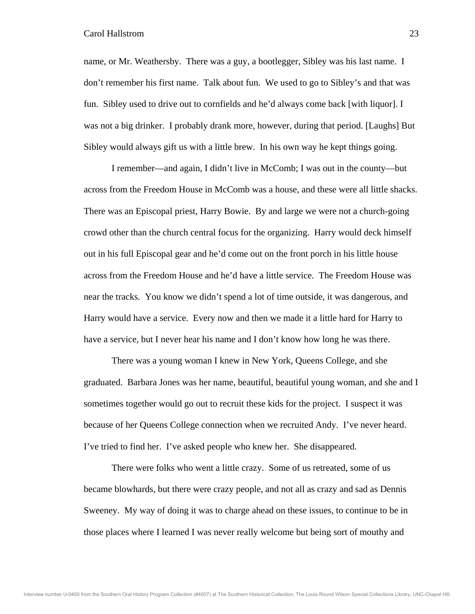name, or Mr. Weathersby. There was a guy, a bootlegger, Sibley was his last name. I don't remember his first name. Talk about fun. We used to go to Sibley's and that was fun. Sibley used to drive out to cornfields and he'd always come back [with liquor]. I was not a big drinker. I probably drank more, however, during that period. [Laughs] But Sibley would always gift us with a little brew. In his own way he kept things going.

 I remember—and again, I didn't live in McComb; I was out in the county—but across from the Freedom House in McComb was a house, and these were all little shacks. There was an Episcopal priest, Harry Bowie. By and large we were not a church-going crowd other than the church central focus for the organizing. Harry would deck himself out in his full Episcopal gear and he'd come out on the front porch in his little house across from the Freedom House and he'd have a little service. The Freedom House was near the tracks. You know we didn't spend a lot of time outside, it was dangerous, and Harry would have a service. Every now and then we made it a little hard for Harry to have a service, but I never hear his name and I don't know how long he was there.

 There was a young woman I knew in New York, Queens College, and she graduated. Barbara Jones was her name, beautiful, beautiful young woman, and she and I sometimes together would go out to recruit these kids for the project. I suspect it was because of her Queens College connection when we recruited Andy. I've never heard. I've tried to find her. I've asked people who knew her. She disappeared.

 There were folks who went a little crazy. Some of us retreated, some of us became blowhards, but there were crazy people, and not all as crazy and sad as Dennis Sweeney. My way of doing it was to charge ahead on these issues, to continue to be in those places where I learned I was never really welcome but being sort of mouthy and

Interview number U-0450 from the Southern Oral History Program Collection (#4007) at The Southern Historical Collection, The Louis Round Wilson Special Collections Library, UNC-Chapel Hill.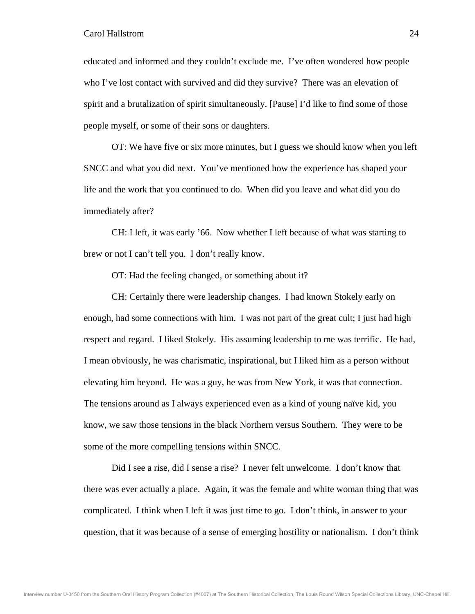educated and informed and they couldn't exclude me. I've often wondered how people who I've lost contact with survived and did they survive? There was an elevation of spirit and a brutalization of spirit simultaneously. [Pause] I'd like to find some of those people myself, or some of their sons or daughters.

 OT: We have five or six more minutes, but I guess we should know when you left SNCC and what you did next. You've mentioned how the experience has shaped your life and the work that you continued to do. When did you leave and what did you do immediately after?

 CH: I left, it was early '66. Now whether I left because of what was starting to brew or not I can't tell you. I don't really know.

OT: Had the feeling changed, or something about it?

 CH: Certainly there were leadership changes. I had known Stokely early on enough, had some connections with him. I was not part of the great cult; I just had high respect and regard. I liked Stokely. His assuming leadership to me was terrific. He had, I mean obviously, he was charismatic, inspirational, but I liked him as a person without elevating him beyond. He was a guy, he was from New York, it was that connection. The tensions around as I always experienced even as a kind of young naïve kid, you know, we saw those tensions in the black Northern versus Southern. They were to be some of the more compelling tensions within SNCC.

 Did I see a rise, did I sense a rise? I never felt unwelcome. I don't know that there was ever actually a place. Again, it was the female and white woman thing that was complicated. I think when I left it was just time to go. I don't think, in answer to your question, that it was because of a sense of emerging hostility or nationalism. I don't think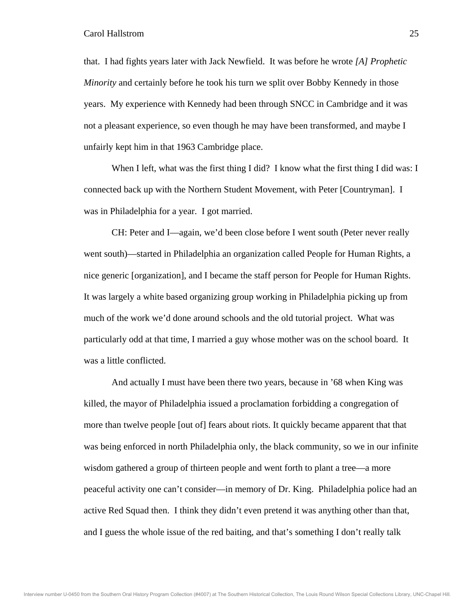that. I had fights years later with Jack Newfield. It was before he wrote *[A] Prophetic Minority* and certainly before he took his turn we split over Bobby Kennedy in those years. My experience with Kennedy had been through SNCC in Cambridge and it was not a pleasant experience, so even though he may have been transformed, and maybe I unfairly kept him in that 1963 Cambridge place.

When I left, what was the first thing I did? I know what the first thing I did was: I connected back up with the Northern Student Movement, with Peter [Countryman]. I was in Philadelphia for a year. I got married.

 CH: Peter and I—again, we'd been close before I went south (Peter never really went south)—started in Philadelphia an organization called People for Human Rights, a nice generic [organization], and I became the staff person for People for Human Rights. It was largely a white based organizing group working in Philadelphia picking up from much of the work we'd done around schools and the old tutorial project. What was particularly odd at that time, I married a guy whose mother was on the school board. It was a little conflicted.

 And actually I must have been there two years, because in '68 when King was killed, the mayor of Philadelphia issued a proclamation forbidding a congregation of more than twelve people [out of] fears about riots. It quickly became apparent that that was being enforced in north Philadelphia only, the black community, so we in our infinite wisdom gathered a group of thirteen people and went forth to plant a tree—a more peaceful activity one can't consider—in memory of Dr. King. Philadelphia police had an active Red Squad then. I think they didn't even pretend it was anything other than that, and I guess the whole issue of the red baiting, and that's something I don't really talk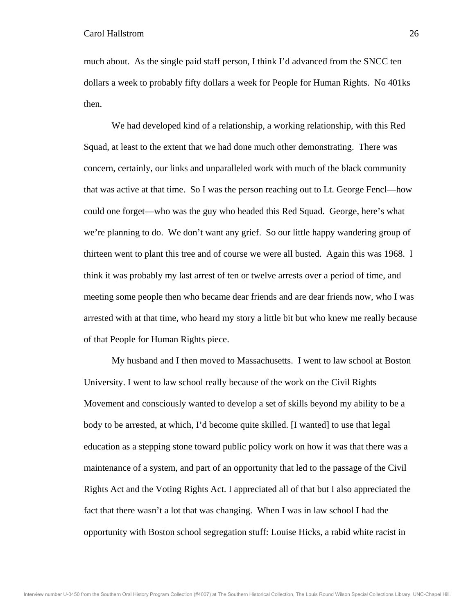much about. As the single paid staff person, I think I'd advanced from the SNCC ten dollars a week to probably fifty dollars a week for People for Human Rights. No 401ks then.

 We had developed kind of a relationship, a working relationship, with this Red Squad, at least to the extent that we had done much other demonstrating. There was concern, certainly, our links and unparalleled work with much of the black community that was active at that time. So I was the person reaching out to Lt. George Fencl—how could one forget—who was the guy who headed this Red Squad. George, here's what we're planning to do. We don't want any grief. So our little happy wandering group of thirteen went to plant this tree and of course we were all busted. Again this was 1968. I think it was probably my last arrest of ten or twelve arrests over a period of time, and meeting some people then who became dear friends and are dear friends now, who I was arrested with at that time, who heard my story a little bit but who knew me really because of that People for Human Rights piece.

 My husband and I then moved to Massachusetts. I went to law school at Boston University. I went to law school really because of the work on the Civil Rights Movement and consciously wanted to develop a set of skills beyond my ability to be a body to be arrested, at which, I'd become quite skilled. [I wanted] to use that legal education as a stepping stone toward public policy work on how it was that there was a maintenance of a system, and part of an opportunity that led to the passage of the Civil Rights Act and the Voting Rights Act. I appreciated all of that but I also appreciated the fact that there wasn't a lot that was changing. When I was in law school I had the opportunity with Boston school segregation stuff: Louise Hicks, a rabid white racist in